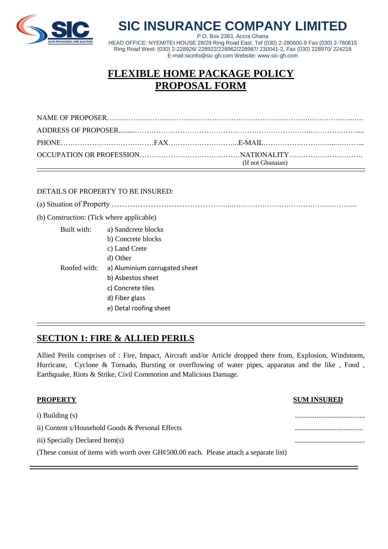

# **SIC INSURANCE COMPANY LIMITED**

P.O. Box 2363, Accra Ghana HEAD OFFICE: NYEMITEI HOUSE 28/29 Ring Road East. Tel (030) 2-280600-9 Fax (030) 2-780615 Ring Road West: (030) 2-228926/ 228922/228962/228987/ 230041-2, Fax (030) 228970/ 224218 E-mail:sicinfo@sic-gh.com Website: www.sic-gh.com

# **FLEXIBLE HOME PACKAGE POLICY PROPOSAL FORM**

|  | (If not Ghanaian) |  |
|--|-------------------|--|

#### DETAILS OF PROPERTY TO BE INSURED:

(a) Situation of Property ………………………………………..…………………………………………….. (b) Construction: (Tick where applicable) Built with: a) Sandcrete blocks b) Concrete blocks c) Land Crete d) Other Roofed with: a) Aluminium corrugated sheet b) Asbestos sheet c) Concrete tiles d) Fiber glass e) Detal roofing sheet

#### **SECTION 1: FIRE & ALLIED PERILS**

Allied Perils comprises of : Fire, Impact, Aircraft and/or Article dropped there from, Explosion, Windstorm, Hurricane, Cyclone & Tornado, Bursting or overflowing of water pipes, apparatus and the like , Food , Earthquake, Riots & Strike, Civil Commotion and Malicious Damage.

| <b>PROPERTY</b>                                                                                  | <b>SUM INSURED</b> |
|--------------------------------------------------------------------------------------------------|--------------------|
| i) Building (s)                                                                                  |                    |
| ii) Content s/Household Goods & Personal Effects                                                 |                    |
| iii) Specially Declared Item(s)                                                                  |                    |
| (These consist of items with worth over $GH\epsilon 500.00$ each. Please attach a separate list) |                    |
|                                                                                                  |                    |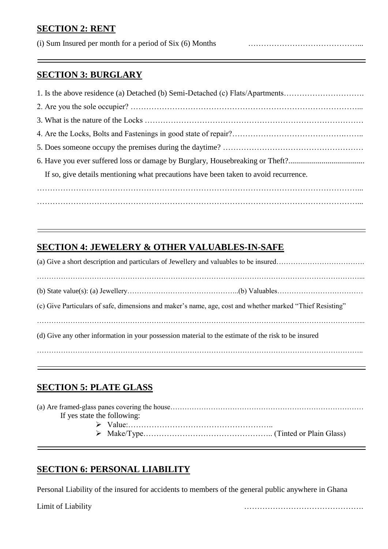#### **SECTION 2: RENT**

(i) Sum Insured per month for a period of Six (6) Months ……………………………………...

#### **SECTION 3: BURGLARY**

| 1. Is the above residence (a) Detached (b) Semi-Detached (c) Flats/Apartments        |
|--------------------------------------------------------------------------------------|
|                                                                                      |
|                                                                                      |
|                                                                                      |
|                                                                                      |
| 6. Have you ever suffered loss or damage by Burglary, Housebreaking or Theft?        |
| If so, give details mentioning what precautions have been taken to avoid recurrence. |
|                                                                                      |
|                                                                                      |

### **SECTION 4: JEWELERY & OTHER VALUABLES-IN-SAFE**

|                                                                                                      | (c) Give Particulars of safe, dimensions and maker's name, age, cost and whether marked "Thief Resisting" |  |  |  |  |
|------------------------------------------------------------------------------------------------------|-----------------------------------------------------------------------------------------------------------|--|--|--|--|
| (d) Give any other information in your possession material to the estimate of the risk to be insured |                                                                                                           |  |  |  |  |
|                                                                                                      |                                                                                                           |  |  |  |  |

### **SECTION 5: PLATE GLASS**

| If yes state the following: |  |  |
|-----------------------------|--|--|
|                             |  |  |
|                             |  |  |
|                             |  |  |

### **SECTION 6: PERSONAL LIABILITY**

Personal Liability of the insured for accidents to members of the general public anywhere in Ghana

Limit of Liability ……………………………………….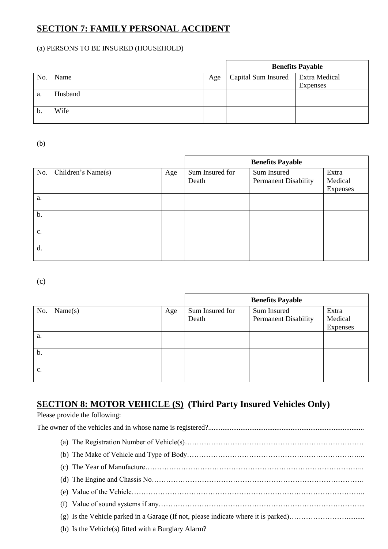### **SECTION 7: FAMILY PERSONAL ACCIDENT**

#### (a) PERSONS TO BE INSURED (HOUSEHOLD)

|     |         |     | <b>Benefits Payable</b> |                      |
|-----|---------|-----|-------------------------|----------------------|
| No. | Name    | Age | Capital Sum Insured     | <b>Extra Medical</b> |
|     |         |     |                         | Expenses             |
| a.  | Husband |     |                         |                      |
|     |         |     |                         |                      |
| b.  | Wife    |     |                         |                      |
|     |         |     |                         |                      |

(b)

|       |                    |     | <b>Benefits Payable</b> |                             |          |
|-------|--------------------|-----|-------------------------|-----------------------------|----------|
| No.   | Children's Name(s) | Age | Sum Insured for         | Sum Insured                 | Extra    |
|       |                    |     | Death                   | <b>Permanent Disability</b> | Medical  |
|       |                    |     |                         |                             | Expenses |
| a.    |                    |     |                         |                             |          |
| $b$ . |                    |     |                         |                             |          |
| c.    |                    |     |                         |                             |          |
| d.    |                    |     |                         |                             |          |

(c)

|               |         |     | <b>Benefits Payable</b>  |                                            |                              |
|---------------|---------|-----|--------------------------|--------------------------------------------|------------------------------|
| No.           | Name(s) | Age | Sum Insured for<br>Death | Sum Insured<br><b>Permanent Disability</b> | Extra<br>Medical<br>Expenses |
| a.            |         |     |                          |                                            |                              |
| b.            |         |     |                          |                                            |                              |
| $C_{\bullet}$ |         |     |                          |                                            |                              |

## **SECTION 8: MOTOR VEHICLE (S) (Third Party Insured Vehicles Only)**

Please provide the following: The owner of the vehicles and in whose name is registered?....................................................................................... (a) The Registration Number of Vehicle(s)………………………………………………………………… (b) The Make of Vehicle and Type of Body………………………………………………………………... (c) The Year of Manufacture……………………………………………………………………………….. (d) The Engine and Chassis No…………………………………………………………………………….. (e) Value of the Vehicle…………………………………………………………………………………….. (f) Value of sound systems if any…………………………………………………………………………... (g) Is the Vehicle parked in a Garage (If not, please indicate where it is parked)…………………….......... (h) Is the Vehicle(s) fitted with a Burglary Alarm?